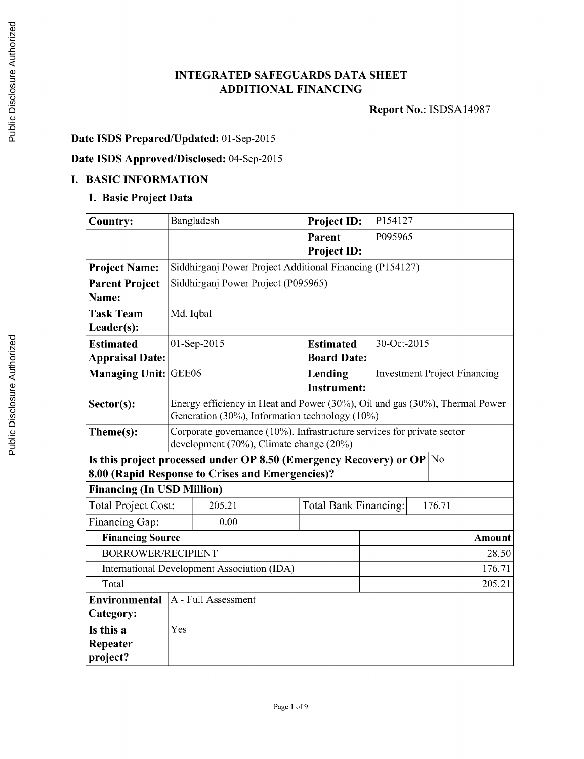### **INTEGRATED SAFEGUARDS DATA SHEET ADDITIONAL FINANCING**

**Report** No.: **ISDSA14987**

## **Date ISDS Prepared/Updated:** 01-Sep-2015

## **Date ISDS Approved/Disclosed:** 04-Sep-2015

#### **I. BASIC INFORMATION**

### **1. Basic Project Data**

| <b>Country:</b>                             | Bangladesh                                                                                                            | Project ID:           | P154127                             |               |  |
|---------------------------------------------|-----------------------------------------------------------------------------------------------------------------------|-----------------------|-------------------------------------|---------------|--|
|                                             |                                                                                                                       | Parent                | P095965                             |               |  |
|                                             |                                                                                                                       | Project ID:           |                                     |               |  |
| <b>Project Name:</b>                        | Siddhirganj Power Project Additional Financing (P154127)                                                              |                       |                                     |               |  |
| <b>Parent Project</b>                       | Siddhirganj Power Project (P095965)                                                                                   |                       |                                     |               |  |
| Name:                                       |                                                                                                                       |                       |                                     |               |  |
| <b>Task Team</b>                            | Md. Iqbal                                                                                                             |                       |                                     |               |  |
| Leader(s):                                  |                                                                                                                       |                       |                                     |               |  |
| <b>Estimated</b>                            | 01-Sep-2015                                                                                                           | <b>Estimated</b>      | 30-Oct-2015                         |               |  |
| <b>Appraisal Date:</b>                      |                                                                                                                       | <b>Board Date:</b>    |                                     |               |  |
| <b>Managing Unit:</b>                       | GEE06                                                                                                                 | Lending               | <b>Investment Project Financing</b> |               |  |
|                                             |                                                                                                                       | <b>Instrument:</b>    |                                     |               |  |
| Sector(s):                                  | Energy efficiency in Heat and Power (30%), Oil and gas (30%), Thermal Power                                           |                       |                                     |               |  |
|                                             | Generation (30%), Information technology (10%)                                                                        |                       |                                     |               |  |
| Theme(s):                                   | Corporate governance $(10\%)$ , Infrastructure services for private sector<br>development (70%), Climate change (20%) |                       |                                     |               |  |
|                                             | Is this project processed under OP 8.50 (Emergency Recovery) or OP $ No $                                             |                       |                                     |               |  |
|                                             | 8.00 (Rapid Response to Crises and Emergencies)?                                                                      |                       |                                     |               |  |
| <b>Financing (In USD Million)</b>           |                                                                                                                       |                       |                                     |               |  |
| <b>Total Project Cost:</b>                  | 205.21                                                                                                                | Total Bank Financing: | 176.71                              |               |  |
| Financing Gap:                              | 0.00                                                                                                                  |                       |                                     |               |  |
| <b>Financing Source</b>                     |                                                                                                                       |                       |                                     | <b>Amount</b> |  |
| <b>BORROWER/RECIPIENT</b>                   |                                                                                                                       |                       | 28.50                               |               |  |
| International Development Association (IDA) |                                                                                                                       |                       | 176.71                              |               |  |
| Total                                       |                                                                                                                       |                       | 205.21                              |               |  |
| <b>Environmental</b>                        | A - Full Assessment                                                                                                   |                       |                                     |               |  |
| Category:                                   |                                                                                                                       |                       |                                     |               |  |
| Is this a                                   | Yes                                                                                                                   |                       |                                     |               |  |
| Repeater                                    |                                                                                                                       |                       |                                     |               |  |
| project?                                    |                                                                                                                       |                       |                                     |               |  |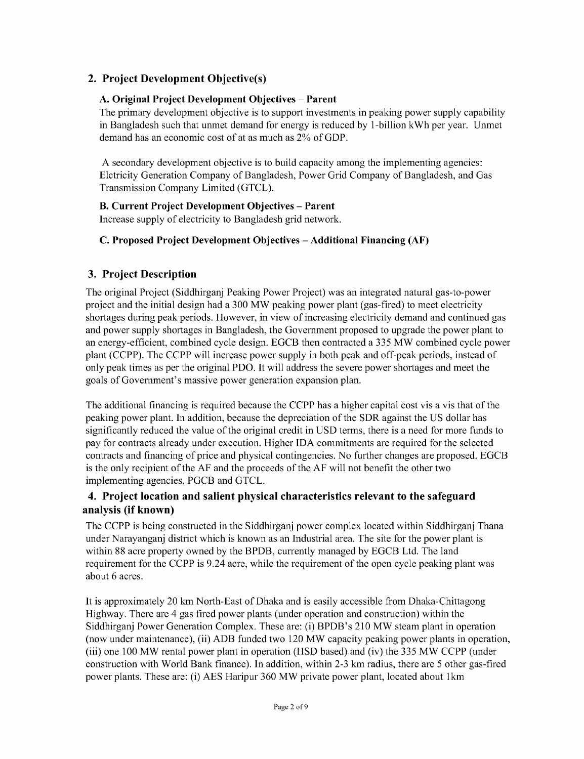## **2. Project Development Objective(s)**

#### **A. Original Project Development Objectives - Parent**

**The primary development objective is** to support investments in peaking power supply capability in Bangladesh such that unmet demand for energy is reduced **by** 1-billion kWh per year. Unmet demand has an economic cost of at as much as 2% of **GDP.**

**A** secondary development objective is to build capacity among the implementing agencies: Elctricity Generation Company of Bangladesh, Power Grid Company of Bangladesh, and Gas Transmission Company Limited **(GTCL).**

### B. **Current Project Development Objectives - Parent**

Increase supply of electricity to Bangladesh grid network.

### **C. Proposed Project Development Objectives - Additional Financing (AF)**

### **3. Project Description**

The original Project (Siddhirganj Peaking Power Project) was an integrated natural gas-to-power project and the initial design had a **300** MW peaking power plant (gas-fired) to meet electricity shortages during peak periods. However, in view of increasing electricity demand and continued gas and power supply shortages in Bangladesh, the Government proposed to upgrade the power plant to an energy-efficient, combined cycle design. **EGCB** then contracted a **335** MW combined cycle power plant **(CCPP).** The **CCPP** will increase power supply in both peak and off-peak periods, instead of only peak times as per the original PDO. It will address the severe power shortages and meet the goals of Government's massive power generation expansion plan.

The additional financing is required because the **CCPP** has a higher capital cost vis a vis that of the peaking power plant. In addition, because the depreciation of the SDR against the **US** dollar has significantly reduced the value of the original credit in **USD** terms, there is a need for more funds to pay for contracts already under execution. Higher **IDA** commitments are required for the selected contracts and financing of price and physical contingencies. No further changes are proposed. **EGCB** is the only recipient of the **AF** and the proceeds of the **AF** will not benefit the other two implementing agencies, PGCB and **GTCL.**

### **4. Project location and salient physical characteristics relevant to the safeguard analysis (if known)**

The **CCPP** is being constructed in the Siddhirganj power complex located within Siddhirganj Thana under Narayanganj district which is known as an Industrial area. The site for the power plant is within **88** acre property owned **by** the BPDB, currently managed **by EGCB** Ltd. The land requirement for the **CCPP** is 9.24 acre, while the requirement of the open cycle peaking plant was about **6** acres.

It is approximately 20 km North-East of Dhaka and is easily accessible from Dhaka-Chittagong Highway. There are 4 gas fired power plants (under operation and construction) within the Siddhirganj Power Generation Complex. These are: (i) BPDB's **210** MW steam plant in operation (now under maintenance), (ii) ADB funded two 120 MW capacity peaking power plants in operation, (iii) one **100** MW rental power plant in operation **(HSD** based) and (iv) the **335** MW **CCPP** (under construction with World Bank finance). In addition, within **2-3** km radius, there are **5** other gas-fired power plants. These are: (i) **AES** Haripur **360** MW private power plant, located about 1km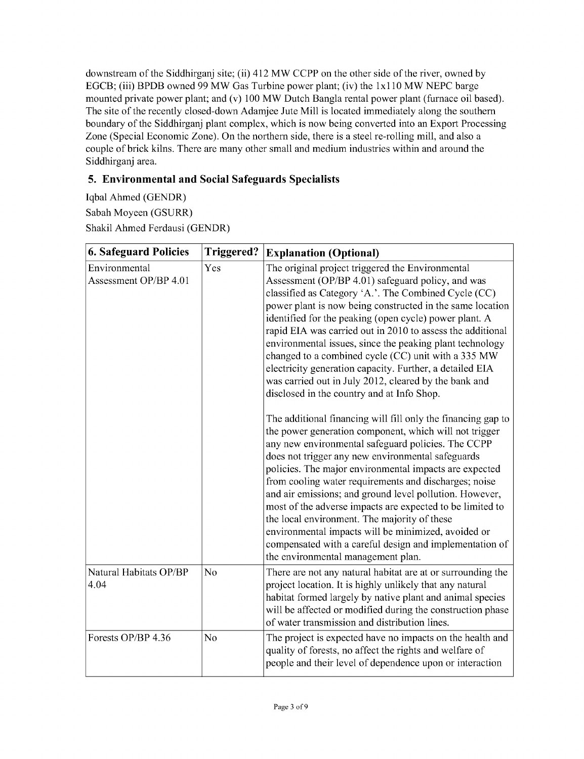downstream of the Siddhirganj site; (ii) 412 MW **CCPP** on the other side of the river, owned **by EGCB;** (iii) BPDB owned **99** MW Gas Turbine power plant; (iv) the lx1 **10** MW **NEPC** barge mounted private power plant; and (v) **100** MW Dutch Bangla rental power plant (furnace oil based). The site of the recently closed-down Adamjee Jute Mill is located immediately along the southern boundary of the Siddhirganj plant complex, which is now being converted into an Export Processing Zone (Special Economic Zone). On the northern side, there is a steel re-rolling mill, and also a couple of brick kilns. There are many other small and medium industries within and around the Siddhirganj area.

# **5. Environmental and Social Safeguards Specialists**

Iqbal Ahmed **(GENDR)** Sabah Moyeen (GSURR) Shakil Ahmed Ferdausi **(GENDR)**

| <b>6. Safeguard Policies</b>           | <b>Triggered?</b> | <b>Explanation (Optional)</b>                                                                                                                                                                                                                                                                                                                                                                                                                                                                                                                                                                                                                                                                                                                                                                                                                                                                                                                                                                                                                                                                                                                                                                                                                                                                                                    |
|----------------------------------------|-------------------|----------------------------------------------------------------------------------------------------------------------------------------------------------------------------------------------------------------------------------------------------------------------------------------------------------------------------------------------------------------------------------------------------------------------------------------------------------------------------------------------------------------------------------------------------------------------------------------------------------------------------------------------------------------------------------------------------------------------------------------------------------------------------------------------------------------------------------------------------------------------------------------------------------------------------------------------------------------------------------------------------------------------------------------------------------------------------------------------------------------------------------------------------------------------------------------------------------------------------------------------------------------------------------------------------------------------------------|
| Environmental<br>Assessment OP/BP 4.01 | Yes               | The original project triggered the Environmental<br>Assessment (OP/BP 4.01) safeguard policy, and was<br>classified as Category 'A.'. The Combined Cycle (CC)<br>power plant is now being constructed in the same location<br>identified for the peaking (open cycle) power plant. A<br>rapid EIA was carried out in 2010 to assess the additional<br>environmental issues, since the peaking plant technology<br>changed to a combined cycle (CC) unit with a 335 MW<br>electricity generation capacity. Further, a detailed EIA<br>was carried out in July 2012, cleared by the bank and<br>disclosed in the country and at Info Shop.<br>The additional financing will fill only the financing gap to<br>the power generation component, which will not trigger<br>any new environmental safeguard policies. The CCPP<br>does not trigger any new environmental safeguards<br>policies. The major environmental impacts are expected<br>from cooling water requirements and discharges; noise<br>and air emissions; and ground level pollution. However,<br>most of the adverse impacts are expected to be limited to<br>the local environment. The majority of these<br>environmental impacts will be minimized, avoided or<br>compensated with a careful design and implementation of<br>the environmental management plan. |
| Natural Habitats OP/BP<br>4.04         | No                | There are not any natural habitat are at or surrounding the<br>project location. It is highly unlikely that any natural<br>habitat formed largely by native plant and animal species<br>will be affected or modified during the construction phase<br>of water transmission and distribution lines.                                                                                                                                                                                                                                                                                                                                                                                                                                                                                                                                                                                                                                                                                                                                                                                                                                                                                                                                                                                                                              |
| Forests OP/BP 4.36                     | No                | The project is expected have no impacts on the health and<br>quality of forests, no affect the rights and welfare of<br>people and their level of dependence upon or interaction                                                                                                                                                                                                                                                                                                                                                                                                                                                                                                                                                                                                                                                                                                                                                                                                                                                                                                                                                                                                                                                                                                                                                 |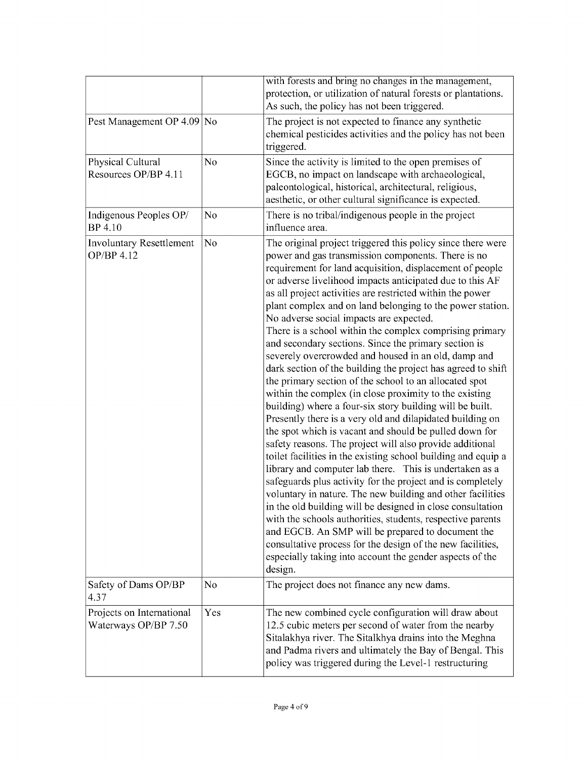|                                                   |     | with forests and bring no changes in the management,<br>protection, or utilization of natural forests or plantations.<br>As such, the policy has not been triggered.                                                                                                                                                                                                                                                                                                                                                                                                                                                                                                                                                                                                                                                                                                                                                                                                                                                                                                                                                                                                                                                                                                                                                                                                                                                                                                                                                                                                                                      |
|---------------------------------------------------|-----|-----------------------------------------------------------------------------------------------------------------------------------------------------------------------------------------------------------------------------------------------------------------------------------------------------------------------------------------------------------------------------------------------------------------------------------------------------------------------------------------------------------------------------------------------------------------------------------------------------------------------------------------------------------------------------------------------------------------------------------------------------------------------------------------------------------------------------------------------------------------------------------------------------------------------------------------------------------------------------------------------------------------------------------------------------------------------------------------------------------------------------------------------------------------------------------------------------------------------------------------------------------------------------------------------------------------------------------------------------------------------------------------------------------------------------------------------------------------------------------------------------------------------------------------------------------------------------------------------------------|
| Pest Management OP 4.09                           | No  | The project is not expected to finance any synthetic<br>chemical pesticides activities and the policy has not been<br>triggered.                                                                                                                                                                                                                                                                                                                                                                                                                                                                                                                                                                                                                                                                                                                                                                                                                                                                                                                                                                                                                                                                                                                                                                                                                                                                                                                                                                                                                                                                          |
| Physical Cultural<br>Resources OP/BP 4.11         | No  | Since the activity is limited to the open premises of<br>EGCB, no impact on landscape with archaeological,<br>paleontological, historical, architectural, religious,<br>aesthetic, or other cultural significance is expected.                                                                                                                                                                                                                                                                                                                                                                                                                                                                                                                                                                                                                                                                                                                                                                                                                                                                                                                                                                                                                                                                                                                                                                                                                                                                                                                                                                            |
| Indigenous Peoples OP/<br>BP 4.10                 | No  | There is no tribal/indigenous people in the project<br>influence area.                                                                                                                                                                                                                                                                                                                                                                                                                                                                                                                                                                                                                                                                                                                                                                                                                                                                                                                                                                                                                                                                                                                                                                                                                                                                                                                                                                                                                                                                                                                                    |
| <b>Involuntary Resettlement</b><br>OP/BP 4.12     | No  | The original project triggered this policy since there were<br>power and gas transmission components. There is no<br>requirement for land acquisition, displacement of people<br>or adverse livelihood impacts anticipated due to this AF<br>as all project activities are restricted within the power<br>plant complex and on land belonging to the power station.<br>No adverse social impacts are expected.<br>There is a school within the complex comprising primary<br>and secondary sections. Since the primary section is<br>severely overcrowded and housed in an old, damp and<br>dark section of the building the project has agreed to shift<br>the primary section of the school to an allocated spot<br>within the complex (in close proximity to the existing<br>building) where a four-six story building will be built.<br>Presently there is a very old and dilapidated building on<br>the spot which is vacant and should be pulled down for<br>safety reasons. The project will also provide additional<br>toilet facilities in the existing school building and equip a<br>library and computer lab there. This is undertaken as a<br>safeguards plus activity for the project and is completely<br>voluntary in nature. The new building and other facilities<br>in the old building will be designed in close consultation<br>with the schools authorities, students, respective parents<br>and EGCB. An SMP will be prepared to document the<br>consultative process for the design of the new facilities,<br>especially taking into account the gender aspects of the<br>design. |
| Safety of Dams OP/BP<br>4.37                      | No  | The project does not finance any new dams.                                                                                                                                                                                                                                                                                                                                                                                                                                                                                                                                                                                                                                                                                                                                                                                                                                                                                                                                                                                                                                                                                                                                                                                                                                                                                                                                                                                                                                                                                                                                                                |
| Projects on International<br>Waterways OP/BP 7.50 | Yes | The new combined cycle configuration will draw about<br>12.5 cubic meters per second of water from the nearby<br>Sitalakhya river. The Sitalkhya drains into the Meghna<br>and Padma rivers and ultimately the Bay of Bengal. This<br>policy was triggered during the Level-1 restructuring                                                                                                                                                                                                                                                                                                                                                                                                                                                                                                                                                                                                                                                                                                                                                                                                                                                                                                                                                                                                                                                                                                                                                                                                                                                                                                               |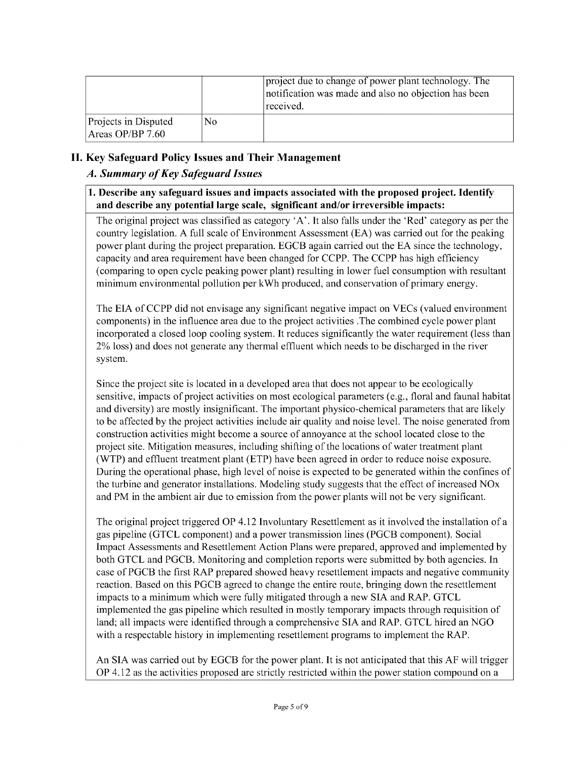|                                          |    | project due to change of power plant technology. The<br>notification was made and also no objection has been<br>received. |
|------------------------------------------|----|---------------------------------------------------------------------------------------------------------------------------|
| Projects in Disputed<br>Areas OP/BP 7.60 | No |                                                                                                                           |

## **II. Key Safeguard Policy Issues and Their Management**

### *A. Summary of Key Safeguard Issues*

#### **1. Describe any safeguard issues and impacts associated with the proposed project. Identify and describe any potential large scale, significant and/or irreversible impacts:**

The original project was classified as category **'A'.** It also falls under the 'Red' category as per the country legislation. **A** full scale of Environment Assessment **(EA)** was carried out for the peaking power plant during the project preparation. **EGCB** again carried out the **EA** since the technology, capacity and area requirement have been changed for **CCPP.** The **CCPP** has high efficiency (comparing to open cycle peaking power plant) resulting in lower fuel consumption with resultant minimum environmental pollution per kWh produced, and conservation of primary energy.

The **EIA** of **CCPP** did not envisage any significant negative impact on VECs (valued environment components) in the influence area due to the project activities .The combined cycle power plant incorporated a closed loop cooling system. It reduces significantly the water requirement (less than 2% loss) and does not generate any thermal effluent which needs to be discharged in the river system.

Since the project site is located in a developed area that does not appear to be ecologically sensitive, impacts of project activities on most ecological parameters (e.g., floral and faunal habitat and diversity) are mostly insignificant. The important physico-chemical parameters that are likely to be affected **by** the project activities include air quality and noise level. The noise generated from construction activities might become a source of annoyance at the school located close to the project site. Mitigation measures, including shifting of the locations of water treatment plant (WTP) and effluent treatment plant (ETP) have been agreed in order to reduce noise exposure. During the operational phase, high level of noise is expected to be generated within the confines of the turbine and generator installations. Modeling study suggests that the effect of increased NOx and PM in the ambient air due to emission from the power plants will not be very significant.

The original project triggered OP 4.12 Involuntary Resettlement as it involved the installation of a gas pipeline **(GTCL** component) and a power transmission lines (PGCB component). Social Impact Assessments and Resettlement Action Plans were prepared, approved and implemented **by** both **GTCL** and PGCB. Monitoring and completion reports were submitted **by** both agencies. In case of PGCB the first RAP prepared showed heavy resettlement impacts and negative community reaction. Based on this PGCB agreed to change the entire route, bringing down the resettlement impacts to a minimum which were fully mitigated through a new **SIA** and RAP. **GTCL** implemented the gas pipeline which resulted in mostly temporary impacts through requisition of land; all impacts were identified through a comprehensive **SIA** and RAP. **GTCL** hired an **NGO** with a respectable history in implementing resettlement programs to implement the RAP.

An **SIA** was carried out **by EGCB** for the power plant. It is not anticipated that this **AF** will trigger OP 4.12 as the activities proposed are strictly restricted within the power station compound on a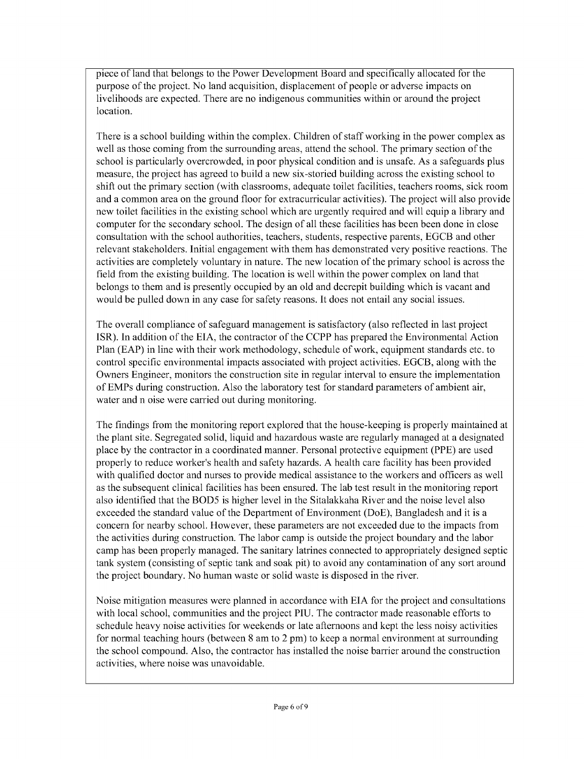piece of land that belongs to the Power Development Board and specifically allocated for the purpose of the project. No land acquisition, displacement of people or adverse impacts on livelihoods are expected. There are no indigenous communities within or around the project location.

There is a school building within the complex. Children of staff working in the power complex as well as those coming from the surrounding areas, attend the school. The primary section of the school is particularly overcrowded, in poor physical condition and is unsafe. As a safeguards plus measure, the project has agreed to build a new six-storied building across the existing school to shift out the primary section (with classrooms, adequate toilet facilities, teachers rooms, sick room and a common area on the ground floor for extracurricular activities). The project will also provide new toilet facilities in the existing school which are urgently required and will equip a library and computer for the secondary school. The design of all these facilities has been been done in close consultation with the school authorities, teachers, students, respective parents, **EGCB** and other relevant stakeholders. Initial engagement with them has demonstrated very positive reactions. The activities are completely voluntary in nature. The new location of the primary school is across the field from the existing building. The location is well within the power complex on land that belongs to them and is presently occupied **by** an old and decrepit building which is vacant and would be pulled down in any case for safety reasons. It does not entail any social issues.

The overall compliance of safeguard management is satisfactory (also reflected in last project ISR). In addition of the **EIA,** the contractor of the **CCPP** has prepared the Environmental Action Plan **(EAP)** in line with their work methodology, schedule of work, equipment standards etc. to control specific environmental impacts associated with project activities. **EGCB,** along with the Owners Engineer, monitors the construction site in regular interval to ensure the implementation of EMPs during construction. Also the laboratory test for standard parameters of ambient air, water and n oise were carried out during monitoring.

The findings from the monitoring report explored that the house-keeping is properly maintained at the plant site. Segregated solid, liquid and hazardous waste are regularly managed at a designated place **by** the contractor in a coordinated manner. Personal protective equipment (PPE) are used properly to reduce worker's health and safety hazards. **A** health care facility has been provided with qualified doctor and nurses to provide medical assistance to the workers and officers as well as the subsequent clinical facilities has been ensured. The lab test result in the monitoring report also identified that the BOD5 is higher level in the Sitalakkaha River and the noise level also exceeded the standard value of the Department of Environment (DoE), Bangladesh and it is a concern for nearby school. However, these parameters are not exceeded due to the impacts from the activities during construction. The labor camp is outside the project boundary and the labor camp has been properly managed. The sanitary latrines connected to appropriately designed septic tank system (consisting of septic tank and soak pit) to avoid any contamination of any sort around the project boundary. No human waste or solid waste is disposed in the river.

Noise mitigation measures were planned in accordance with **EIA** for the project and consultations with local school, communities and the project **PIU.** The contractor made reasonable efforts to schedule heavy noise activities for weekends or late afternoons and kept the less noisy activities for normal teaching hours (between **8** am to 2 pm) to keep a normal environment at surrounding the school compound. Also, the contractor has installed the noise barrier around the construction activities, where noise was unavoidable.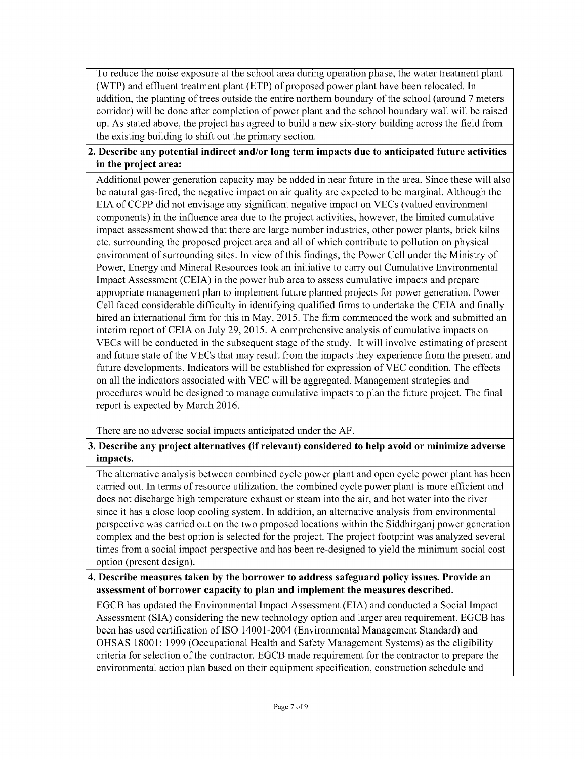To reduce the noise exposure at the school area during operation phase, the water treatment plant (WTP) and effluent treatment plant (ETP) of proposed power plant have been relocated. In addition, the planting of trees outside the entire northern boundary of the school (around *7* meters corridor) will be done after completion of power plant and the school boundary wall will be raised up. As stated above, the project has agreed to build a new six-story building across the field from the existing building to shift out the primary section.

### **2. Describe any potential indirect and/or long term impacts due to anticipated future activities in the project area:**

Additional power generation capacity may be added in near future in the area. Since these will also be natural gas-fired, the negative impact on air quality are expected to be marginal. Although the **EIA** of **CCPP** did not envisage any significant negative impact on VECs (valued environment components) in the influence area due to the project activities, however, the limited cumulative impact assessment showed that there are large number industries, other power plants, brick kilns etc. surrounding the proposed project area and all of which contribute to pollution on physical environment of surrounding sites. In view of this findings, the Power Cell under the Ministry of Power, Energy and Mineral Resources took an initiative to carry out Cumulative Environmental Impact Assessment **(CEIA)** in the power hub area to assess cumulative impacts and prepare appropriate management plan to implement future planned projects for power generation. Power Cell faced considerable difficulty in identifying qualified firms to undertake the **CEIA** and finally hired an international firm for this in May, **2015.** The firm commenced the work and submitted an interim report of **CEIA** on July **29,** *2015.* **A** comprehensive analysis of cumulative impacts on VECs will be conducted in the subsequent stage of the study. It will involve estimating of present and future state of the VECs that may result from the impacts they experience from the present and future developments. Indicators will be established for expression of **VEC** condition. The effects on all the indicators associated with **VEC** will be aggregated. Management strategies and procedures would be designed to manage cumulative impacts to plan the future project. The final report is expected **by** March **2016.**

There are no adverse social impacts anticipated under the **AF.**

### **3. Describe any project alternatives (if relevant) considered to help avoid or minimize adverse impacts.**

The alternative analysis between combined cycle power plant and open cycle power plant has been carried out. In terms of resource utilization, the combined cycle power plant is more efficient and does not discharge high temperature exhaust or steam into the air, and hot water into the river since it has a close loop cooling system. In addition, an alternative analysis from environmental perspective was carried out on the two proposed locations within the Siddhirganj power generation complex and the best option is selected for the project. The project footprint was analyzed several times from a social impact perspective and has been re-designed to yield the minimum social cost option (present design).

#### **4. Describe measures taken by the borrower to address safeguard policy issues. Provide an assessment of borrower capacity to plan and implement the measures described.**

**EGCB** has updated the Environmental Impact Assessment **(EIA)** and conducted a Social Impact Assessment **(SIA)** considering the new technology option and larger area requirement. **EGCB** has been has used certification of **ISO** 14001-2004 (Environmental Management Standard) and **OHSAS 18001: 1999** (Occupational Health and Safety Management Systems) as the eligibility criteria for selection of the contractor. **EGCB** made requirement for the contractor to prepare the environmental action plan based on their equipment specification, construction schedule and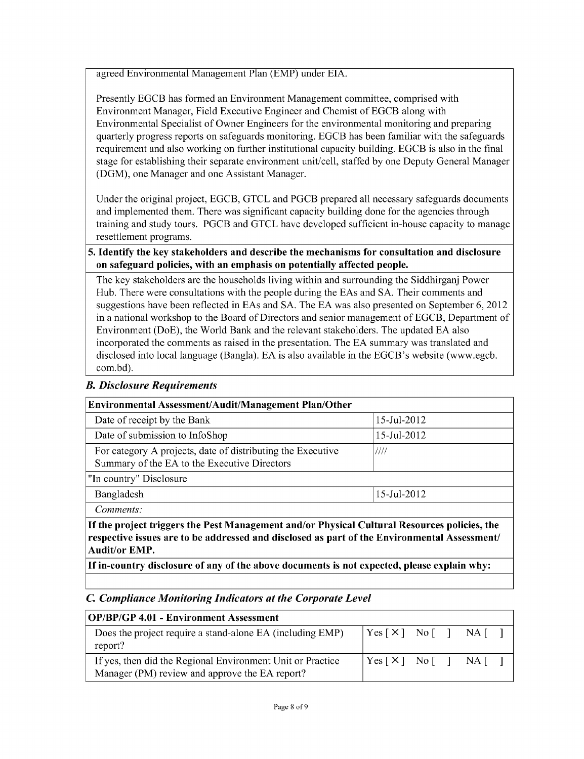agreed Environmental Management Plan (EMP) under **EIA.**

Presently **EGCB** has formed an Environment Management committee, comprised with Environment Manager, Field Executive Engineer and Chemist of **EGCB** along with Environmental Specialist of Owner Engineers for the environmental monitoring and preparing quarterly progress reports on safeguards monitoring. **EGCB** has been familiar with the safeguards requirement and also working on further institutional capacity building. **EGCB** is also in the final stage for establishing their separate environment unit/cell, staffed **by** one Deputy General Manager **(DGM),** one Manager and one Assistant Manager.

Under the original project, **EGCB, GTCL** and PGCB prepared all necessary safeguards documents and implemented them. There was significant capacity building done for the agencies through training and study tours. PGCB and **GTCL** have developed sufficient in-house capacity to manage resettlement programs.

#### *5.* **Identify the key stakeholders and describe the mechanisms for consultation and disclosure on safeguard policies, with an emphasis on potentially affected people.**

The key stakeholders are the households living within and surrounding the Siddhirganj Power Hub. There were consultations with the people during the EAs and **SA.** Their comments and suggestions have been reflected in EAs and **SA.** The **EA** was also presented on September **6,** 2012 in a national workshop to the Board of Directors and senior management of **EGCB,** Department of Environment (DoE), the World Bank and the relevant stakeholders. The updated **EA** also incorporated the comments as raised in the presentation. The **EA** summary was translated and disclosed into local language (Bangla). **EA** is also available in the EGCB's website (www.egcb. com.bd).

### *B. Disclosure Requirements*

| Environmental Assessment/Audit/Management Plan/Other                                                                |             |  |  |  |
|---------------------------------------------------------------------------------------------------------------------|-------------|--|--|--|
| Date of receipt by the Bank                                                                                         | 15-Jul-2012 |  |  |  |
| Date of submission to InfoShop<br>15-Jul-2012                                                                       |             |  |  |  |
| For category A projects, date of distributing the Executive<br>////<br>Summary of the EA to the Executive Directors |             |  |  |  |
| "In country" Disclosure                                                                                             |             |  |  |  |
| Bangladesh<br>15-Jul-2012                                                                                           |             |  |  |  |
| Comments:                                                                                                           |             |  |  |  |
| If the project triggers the Pest Management and/or Physical Cultural Resources policies, the                        |             |  |  |  |

**If the project triggers the Pest Management and/or Physical Cultural Resources policies, the respective issues are to be addressed and disclosed as part of the Environmental Assessment/ Audit/or EMP.**

**If in-country disclosure of any of the above documents is not expected, please explain why:**

#### *C Compliance Monitoring Indicators at the Corporate Level*

| <b>OP/BP/GP 4.01 - Environment Assessment</b>                                                                |                                                                                                                  |  |  |  |  |
|--------------------------------------------------------------------------------------------------------------|------------------------------------------------------------------------------------------------------------------|--|--|--|--|
| Does the project require a stand-alone EA (including EMP)<br>report?                                         | $\begin{bmatrix} \text{Yes} \end{bmatrix}$ No $\begin{bmatrix} \end{bmatrix}$ NA $\begin{bmatrix} \end{bmatrix}$ |  |  |  |  |
| If yes, then did the Regional Environment Unit or Practice<br>Manager (PM) review and approve the EA report? | $ Yes \, [ \, X \, ] \, No \, [ \, ] \, NA \, [ \, ]$                                                            |  |  |  |  |